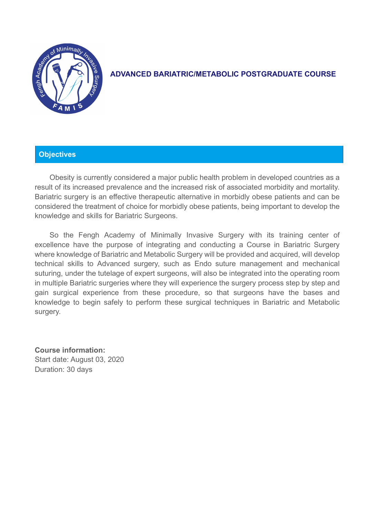

# **ADVANCED BARIATRIC/METABOLIC POSTGRADUATE COURSE**

## **Objectives**

Obesity is currently considered a major public health problem in developed countries as a result of its increased prevalence and the increased risk of associated morbidity and mortality. Bariatric surgery is an effective therapeutic alternative in morbidly obese patients and can be considered the treatment of choice for morbidly obese patients, being important to develop the knowledge and skills for Bariatric Surgeons.

So the Fengh Academy of Minimally Invasive Surgery with its training center of excellence have the purpose of integrating and conducting a Course in Bariatric Surgery where knowledge of Bariatric and Metabolic Surgery will be provided and acquired, will develop technical skills to Advanced surgery, such as Endo suture management and mechanical suturing, under the tutelage of expert surgeons, will also be integrated into the operating room in multiple Bariatric surgeries where they will experience the surgery process step by step and gain surgical experience from these procedure, so that surgeons have the bases and knowledge to begin safely to perform these surgical techniques in Bariatric and Metabolic surgery.

**Course information:** Start date: August 03, 2020 Duration: 30 days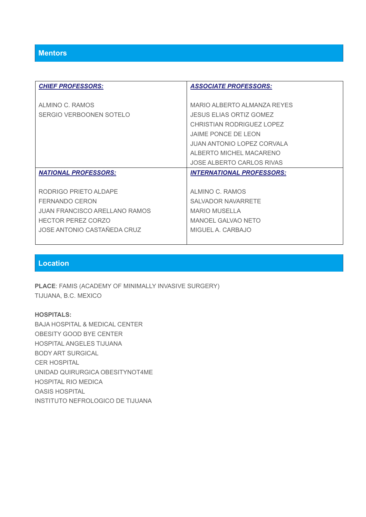| <b>CHIEF PROFESSORS:</b>             | <b>ASSOCIATE PROFESSORS:</b>      |
|--------------------------------------|-----------------------------------|
|                                      |                                   |
| ALMINO C. RAMOS                      | MARIO ALBERTO ALMANZA REYES       |
| SERGIO VERBOONEN SOTELO              | <b>JESUS ELIAS ORTIZ GOMEZ</b>    |
|                                      | <b>CHRISTIAN RODRIGUEZ LOPEZ</b>  |
|                                      | JAIME PONCE DE LEON               |
|                                      | <b>JUAN ANTONIO LOPEZ CORVALA</b> |
|                                      | ALBERTO MICHEL MACARENO           |
|                                      | JOSE ALBERTO CARLOS RIVAS         |
| <b>NATIONAL PROFESSORS:</b>          | <b>INTERNATIONAL PROFESSORS:</b>  |
|                                      |                                   |
| RODRIGO PRIETO ALDAPE                | ALMINO C. RAMOS                   |
| <b>FERNANDO CERON</b>                | <b>SALVADOR NAVARRETE</b>         |
| <b>JUAN FRANCISCO ARELLANO RAMOS</b> | <b>MARIO MUSELLA</b>              |
| <b>HECTOR PEREZ CORZO</b>            | <b>MANOEL GALVAO NETO</b>         |
|                                      |                                   |
| JOSE ANTONIO CASTAÑEDA CRUZ          | MIGUEL A. CARBAJO                 |

## **Location**

**PLACE**: FAMIS (ACADEMY OF MINIMALLY INVASIVE SURGERY) TIJUANA, B.C. MEXICO

## **HOSPITALS:**

BAJA HOSPITAL & MEDICAL CENTER OBESITY GOOD BYE CENTER HOSPITAL ANGELES TIJUANA BODY ART SURGICAL CER HOSPITAL UNIDAD QUIRURGICA OBESITYNOT4ME HOSPITAL RIO MEDICA OASIS HOSPITAL INSTITUTO NEFROLOGICO DE TIJUANA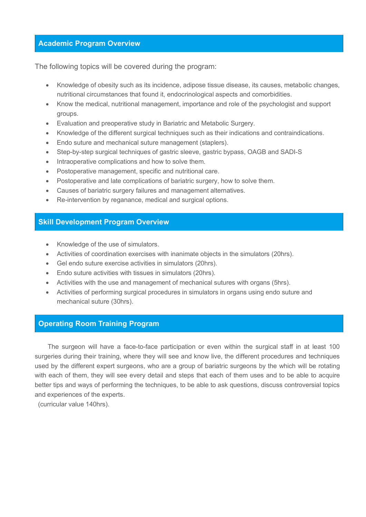## **Academic Program Overview**

The following topics will be covered during the program:

- Knowledge of obesity such as its incidence, adipose tissue disease, its causes, metabolic changes, nutritional circumstances that found it, endocrinological aspects and comorbidities.
- Know the medical, nutritional management, importance and role of the psychologist and support groups.
- Evaluation and preoperative study in Bariatric and Metabolic Surgery.
- Knowledge of the different surgical techniques such as their indications and contraindications.
- Endo suture and mechanical suture management (staplers).
- Step-by-step surgical techniques of gastric sleeve, gastric bypass, OAGB and SADI-S
- Intraoperative complications and how to solve them.
- Postoperative management, specific and nutritional care.
- Postoperative and late complications of bariatric surgery, how to solve them.
- Causes of bariatric surgery failures and management alternatives.
- Re-intervention by reganance, medical and surgical options.

## **Skill Development Program Overview**

- Knowledge of the use of simulators.
- Activities of coordination exercises with inanimate objects in the simulators (20hrs).
- Gel endo suture exercise activities in simulators (20hrs).
- Endo suture activities with tissues in simulators (20hrs).
- Activities with the use and management of mechanical sutures with organs (5hrs).
- Activities of performing surgical procedures in simulators in organs using endo suture and mechanical suture (30hrs).

## **Operating Room Training Program**

The surgeon will have a face-to-face participation or even within the surgical staff in at least 100 surgeries during their training, where they will see and know live, the different procedures and techniques used by the different expert surgeons, who are a group of bariatric surgeons by the which will be rotating with each of them, they will see every detail and steps that each of them uses and to be able to acquire better tips and ways of performing the techniques, to be able to ask questions, discuss controversial topics and experiences of the experts.

(curricular value 140hrs).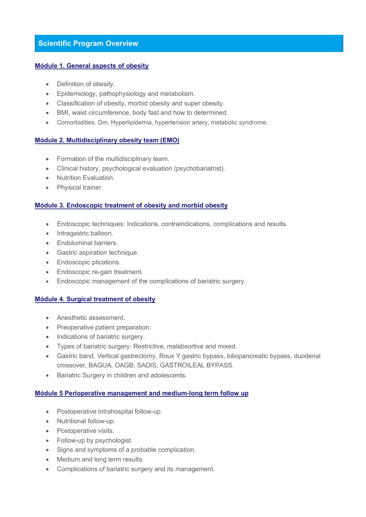## **Scientific Program Overview**

#### **Módule 1. General aspects of obesity**

- Definition of obesity.
- Epidemiology, pathophysiology and metabolism.
- Classification of obesity, morbid obesity and super obesity.
- BMI, waist circumference, body fast and how to determined.
- Comorbidities. Dm, Hyperlipidemia, hypertension artery, metabolic syndrome.

#### **Módule 2. Multidisciplinary obesity team (EMO)**

- Formation of the multidisciplinary team.
- Clinical history, psychological evaluation (psychobariatrist).
- Nutrition Evaluation.
- Physical trainer.

#### **Módule 3. Endoscopic treatment of obesity and morbid obesity**

- Endoscopic techniques: Indications, contraindications, complications and results.
- Intragastric balloon.
- Endoluminal barriers.
- Gastric aspiration technique.
- Endoscopic plications.
- Endoscopic re-gain treatment.
- Endoscopic management of the complications of bariatric surgery.

## **Módule 4. Surgical treatment of obesity**

- Anesthetic assessment.
- Preoperative patient preparation.
- Indications of bariatric surgery.
- Types of bariatric surgery: Restrictive, malabsortive and mixed.
- Gastric band, Vertical gastrectomy, Roux Y gastric bypass, biliopancreatic bypass, duodenal crossover, BAGUA, OAGB, SADIS, GASTROILEAL BYPASS.
- Bariatric Surgery in children and adolescents.

#### **Módule 5 Perioperative management and medium-long term follow up**

- Postoperative intrahospital follow-up.
- Nutritional follow-up.
- Postoperative visits.
- Follow-up by psychologist.
- Signs and symptoms of a probable complication.
- Medium and long term results.
- Complications of bariatric surgery and its management.